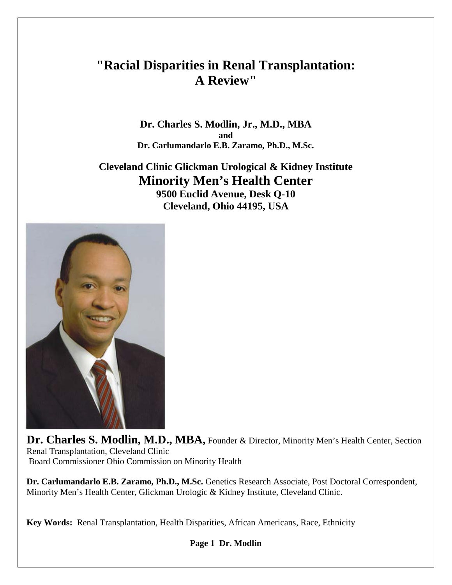# **"Racial Disparities in Renal Transplantation: A Review"**

**Dr. Charles S. Modlin, Jr., M.D., MBA and Dr. Carlumandarlo E.B. Zaramo, Ph.D., M.Sc.**

**Cleveland Clinic Glickman Urological & Kidney Institute Minority Men's Health Center**

**9500 Euclid Avenue, Desk Q-10 Cleveland, Ohio 44195, USA**



Dr. Charles S. Modlin, M.D., MBA, Founder & Director, Minority Men's Health Center, Section Renal Transplantation, Cleveland Clinic Board Commissioner Ohio Commission on Minority Health

**Dr. Carlumandarlo E.B. Zaramo, Ph.D., M.Sc.** Genetics Research Associate, Post Doctoral Correspondent, Minority Men's Health Center, Glickman Urologic & Kidney Institute, Cleveland Clinic.

**Key Words:** Renal Transplantation, Health Disparities, African Americans, Race, Ethnicity

**Page 1 Dr. Modlin**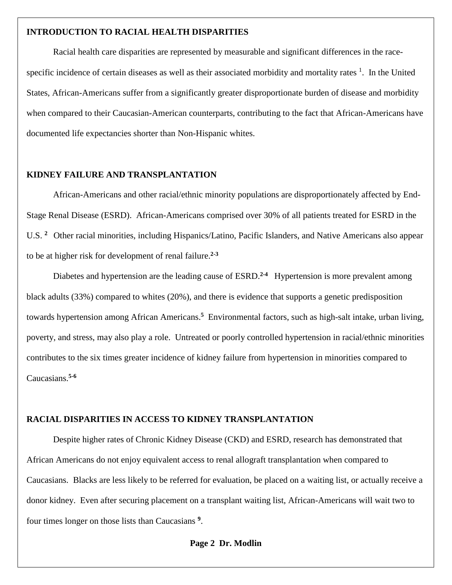### **INTRODUCTION TO RACIAL HEALTH DISPARITIES**

Racial health care disparities are represented by measurable and significant differences in the racespecific incidence of certain diseases as well as their associated morbidity and mortality rates <sup>1</sup>. In the United States, African-Americans suffer from a significantly greater disproportionate burden of disease and morbidity when compared to their Caucasian-American counterparts, contributing to the fact that African-Americans have documented life expectancies shorter than Non-Hispanic whites.

#### **KIDNEY FAILURE AND TRANSPLANTATION**

African-Americans and other racial/ethnic minority populations are disproportionately affected by End-Stage Renal Disease (ESRD). African-Americans comprised over 30% of all patients treated for ESRD in the U.S. **<sup>2</sup>** Other racial minorities, including Hispanics/Latino, Pacific Islanders, and Native Americans also appear to be at higher risk for development of renal failure.**2-3**

Diabetes and hypertension are the leading cause of ESRD.<sup>2-4</sup> Hypertension is more prevalent among black adults (33%) compared to whites (20%), and there is evidence that supports a genetic predisposition towards hypertension among African Americans. **<sup>5</sup>** Environmental factors, such as high-salt intake, urban living, poverty, and stress, may also play a role. Untreated or poorly controlled hypertension in racial/ethnic minorities contributes to the six times greater incidence of kidney failure from hypertension in minorities compared to Caucasians. **5-6**

## **RACIAL DISPARITIES IN ACCESS TO KIDNEY TRANSPLANTATION**

Despite higher rates of Chronic Kidney Disease (CKD) and ESRD, research has demonstrated that African Americans do not enjoy equivalent access to renal allograft transplantation when compared to Caucasians. Blacks are less likely to be referred for evaluation, be placed on a waiting list, or actually receive a donor kidney. Even after securing placement on a transplant waiting list, African-Americans will wait two to four times longer on those lists than Caucasians **<sup>9</sup>**.

**Page 2 Dr. Modlin**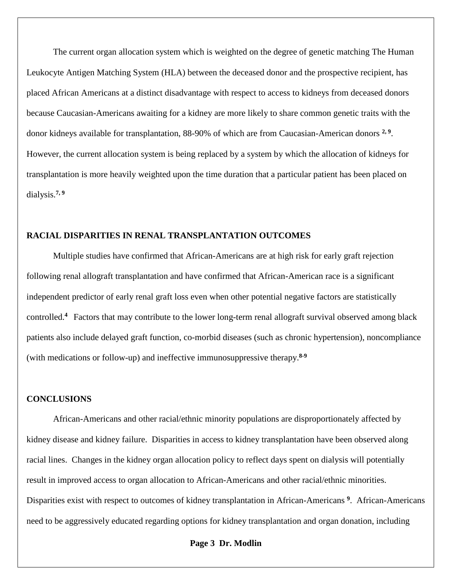The current organ allocation system which is weighted on the degree of genetic matching The Human Leukocyte Antigen Matching System (HLA) between the deceased donor and the prospective recipient, has placed African Americans at a distinct disadvantage with respect to access to kidneys from deceased donors because Caucasian-Americans awaiting for a kidney are more likely to share common genetic traits with the donor kidneys available for transplantation, 88-90% of which are from Caucasian-American donors **2, 9**. However, the current allocation system is being replaced by a system by which the allocation of kidneys for transplantation is more heavily weighted upon the time duration that a particular patient has been placed on dialysis. **7, 9**

## **RACIAL DISPARITIES IN RENAL TRANSPLANTATION OUTCOMES**

Multiple studies have confirmed that African-Americans are at high risk for early graft rejection following renal allograft transplantation and have confirmed that African-American race is a significant independent predictor of early renal graft loss even when other potential negative factors are statistically controlled.**<sup>4</sup>** Factors that may contribute to the lower long-term renal allograft survival observed among black patients also include delayed graft function, co-morbid diseases (such as chronic hypertension), noncompliance (with medications or follow-up) and ineffective immunosuppressive therapy.**8-9**

## **CONCLUSIONS**

African-Americans and other racial/ethnic minority populations are disproportionately affected by kidney disease and kidney failure. Disparities in access to kidney transplantation have been observed along racial lines. Changes in the kidney organ allocation policy to reflect days spent on dialysis will potentially result in improved access to organ allocation to African-Americans and other racial/ethnic minorities. Disparities exist with respect to outcomes of kidney transplantation in African-Americans **<sup>9</sup>**. African-Americans need to be aggressively educated regarding options for kidney transplantation and organ donation, including

### **Page 3 Dr. Modlin**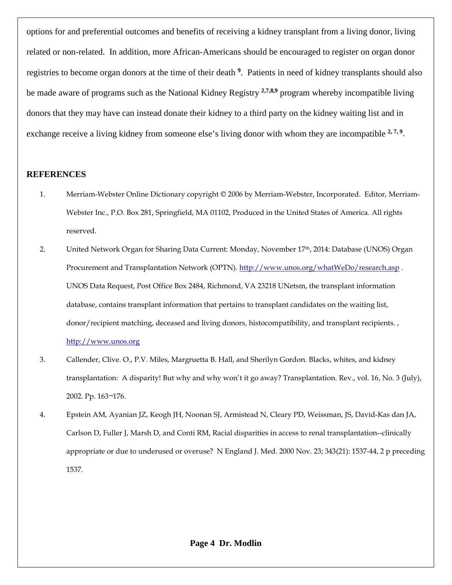options for and preferential outcomes and benefits of receiving a kidney transplant from a living donor, living related or non-related. In addition, more African-Americans should be encouraged to register on organ donor registries to become organ donors at the time of their death **<sup>9</sup>**. Patients in need of kidney transplants should also be made aware of programs such as the National Kidney Registry **2,7,8,9** program whereby incompatible living donors that they may have can instead donate their kidney to a third party on the kidney waiting list and in exchange receive a living kidney from someone else's living donor with whom they are incompatible <sup>2,7,9</sup>.

# **REFERENCES**

- 1. Merriam-Webster Online Dictionary copyright © 2006 by Merriam-Webster, Incorporated. Editor, Merriam-Webster Inc., P.O. Box 281, Springfield, MA 01102, Produced in the United States of America. All rights reserved.
- 2. United Network Organ for Sharing Data Current: Monday, November 17<sup>th</sup>, 2014: Database (UNOS) Organ Procurement and Transplantation Network (OPTN).<http://www.unos.org/whatWeDo/research.asp>. UNOS Data Request, Post Office Box 2484, Richmond, VA 23218 UNetsm, the transplant information database, contains transplant information that pertains to transplant candidates on the waiting list, donor/recipient matching, deceased and living donors, histocompatibility, and transplant recipients. , [http://www.unos.org](http://www.unos.org/)
- 3. Callender, Clive. O., P.V. Miles, Margruetta B. Hall, and Sherilyn Gordon. Blacks, whites, and kidney transplantation: A disparity! But why and why won't it go away? Transplantation. Rev., vol. 16, No. 3 (July), 2002. Pp. 163¬176.
- 4. Epstein AM, Ayanian JZ, Keogh JH, Noonan SJ, Armistead N, Cleary PD, Weissman, JS, David-Kas dan JA, Carlson D, Fuller J, Marsh D, and Conti RM, Racial disparities in access to renal transplantation--clinically appropriate or due to underused or overuse? N England J. Med. 2000 Nov. 23; 343(21): 1537-44, 2 p preceding 1537.

**Page 4 Dr. Modlin**